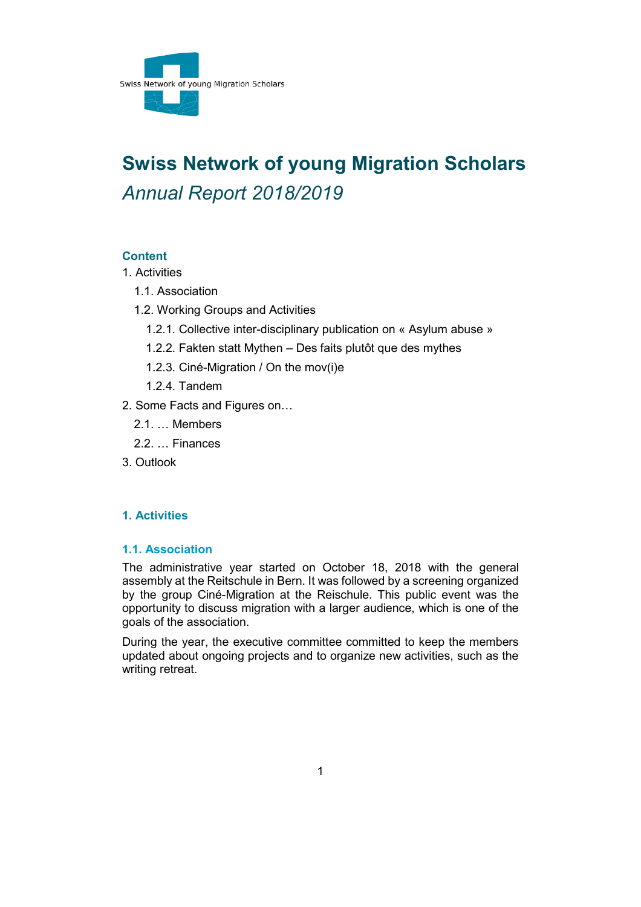

# **Swiss Network of young Migration Scholars** *Annual Report 2018/2019*

# **Content**

- [1. Activities](#page-0-0)
	- [1.1. Association](#page-0-1)
	- [1.2. Working Groups and Activities](#page-1-0)
		- [1.2.1. Collective inter-disciplinary publication on «](#page-1-1) Asylum abuse »
		- 1.2.2. Fakten statt Mythen [Des faits plutôt que des mythes](#page-1-2)
		- [1.2.3. Ciné-Migration / On the mov\(i\)e](#page-1-3)
		- [1.2.4. Tandem](#page-2-0)
- [2. Some Facts and Figures on…](#page-2-1)
	- [2.1. … Members](#page-2-2)
	- [2.2. … Finances](#page-2-3)
- [3. Outlook](#page-3-0)

# <span id="page-0-0"></span>**1. Activities**

# <span id="page-0-1"></span>**1.1. Association**

The administrative year started on October 18, 2018 with the general assembly at the Reitschule in Bern. It was followed by a screening organized by the group Ciné-Migration at the Reischule. This public event was the opportunity to discuss migration with a larger audience, which is one of the goals of the association.

During the year, the executive committee committed to keep the members updated about ongoing projects and to organize new activities, such as the writing retreat.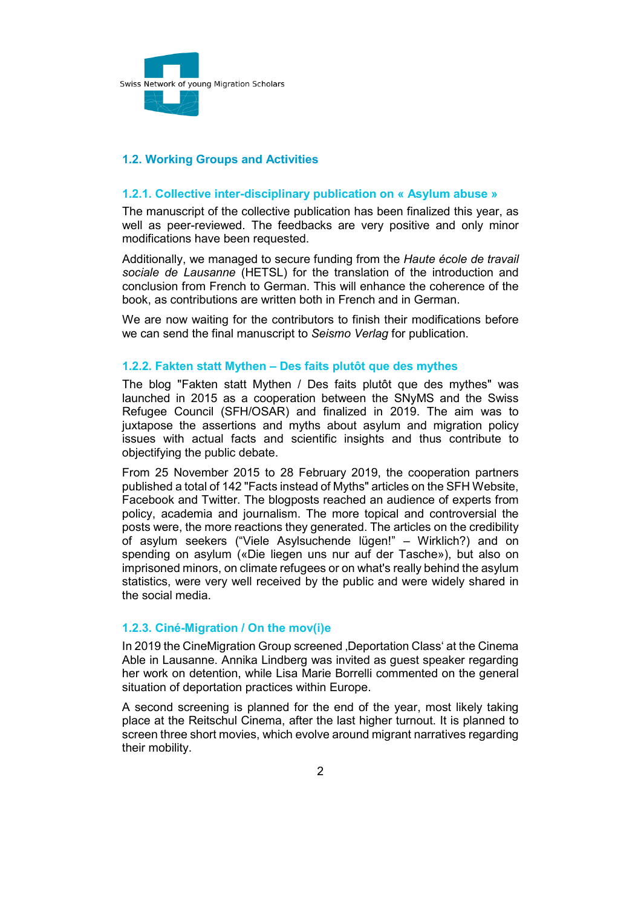

# <span id="page-1-0"></span>**1.2. Working Groups and Activities**

### <span id="page-1-1"></span>**1.2.1. Collective inter-disciplinary publication on « Asylum abuse »**

The manuscript of the collective publication has been finalized this year, as well as peer-reviewed. The feedbacks are very positive and only minor modifications have been requested.

Additionally, we managed to secure funding from the *Haute école de travail sociale de Lausanne* (HETSL) for the translation of the introduction and conclusion from French to German. This will enhance the coherence of the book, as contributions are written both in French and in German.

We are now waiting for the contributors to finish their modifications before we can send the final manuscript to *Seismo Verlag* for publication.

#### <span id="page-1-2"></span>**1.2.2. Fakten statt Mythen – Des faits plutôt que des mythes**

The blog "Fakten statt Mythen / Des faits plutôt que des mythes" was launched in 2015 as a cooperation between the SNyMS and the Swiss Refugee Council (SFH/OSAR) and finalized in 2019. The aim was to juxtapose the assertions and myths about asylum and migration policy issues with actual facts and scientific insights and thus contribute to objectifying the public debate.

From 25 November 2015 to 28 February 2019, the cooperation partners published a total of 142 "Facts instead of Myths" articles on the SFH Website, Facebook and Twitter. The blogposts reached an audience of experts from policy, academia and journalism. The more topical and controversial the posts were, the more reactions they generated. The articles on the credibility of asylum seekers ("Viele Asylsuchende lügen!" – Wirklich?) and on spending on asylum («Die liegen uns nur auf der Tasche»), but also on imprisoned minors, on climate refugees or on what's really behind the asylum statistics, were very well received by the public and were widely shared in the social media.

#### <span id="page-1-3"></span>**1.2.3. Ciné-Migration / On the mov(i)e**

In 2019 the CineMigration Group screened , Deportation Class' at the Cinema Able in Lausanne. Annika Lindberg was invited as guest speaker regarding her work on detention, while Lisa Marie Borrelli commented on the general situation of deportation practices within Europe.

A second screening is planned for the end of the year, most likely taking place at the Reitschul Cinema, after the last higher turnout. It is planned to screen three short movies, which evolve around migrant narratives regarding their mobility.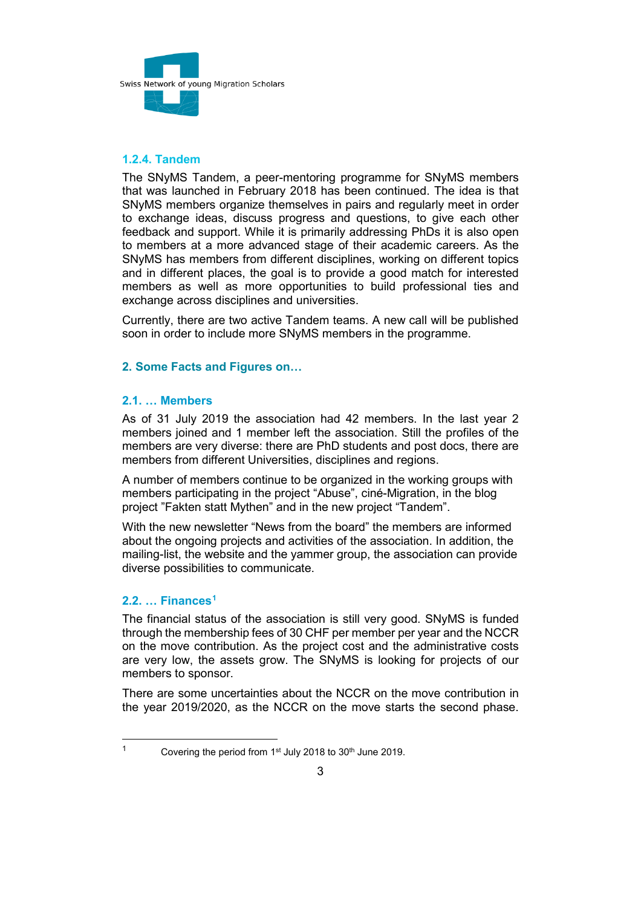

# <span id="page-2-0"></span>**1.2.4. Tandem**

The SNyMS Tandem, a peer-mentoring programme for SNyMS members that was launched in February 2018 has been continued. The idea is that SNyMS members organize themselves in pairs and regularly meet in order to exchange ideas, discuss progress and questions, to give each other feedback and support. While it is primarily addressing PhDs it is also open to members at a more advanced stage of their academic careers. As the SNyMS has members from different disciplines, working on different topics and in different places, the goal is to provide a good match for interested members as well as more opportunities to build professional ties and exchange across disciplines and universities.

Currently, there are two active Tandem teams. A new call will be published soon in order to include more SNyMS members in the programme.

# <span id="page-2-1"></span>**2. Some Facts and Figures on…**

#### <span id="page-2-2"></span>**2.1. … Members**

As of 31 July 2019 the association had 42 members. In the last year 2 members joined and 1 member left the association. Still the profiles of the members are very diverse: there are PhD students and post docs, there are members from different Universities, disciplines and regions.

A number of members continue to be organized in the working groups with members participating in the project "Abuse", ciné-Migration, in the blog project "Fakten statt Mythen" and in the new project "Tandem".

With the new newsletter "News from the board" the members are informed about the ongoing projects and activities of the association. In addition, the mailing-list, the website and the yammer group, the association can provide diverse possibilities to communicate.

# <span id="page-2-3"></span>**2.2. … Finances[1](#page-2-4)**

The financial status of the association is still very good. SNyMS is funded through the membership fees of 30 CHF per member per year and the NCCR on the move contribution. As the project cost and the administrative costs are very low, the assets grow. The SNyMS is looking for projects of our members to sponsor.

There are some uncertainties about the NCCR on the move contribution in the year 2019/2020, as the NCCR on the move starts the second phase.

<span id="page-2-4"></span><sup>&</sup>lt;sup>1</sup> Covering the period from  $1<sup>st</sup>$  July 2018 to  $30<sup>th</sup>$  June 2019.